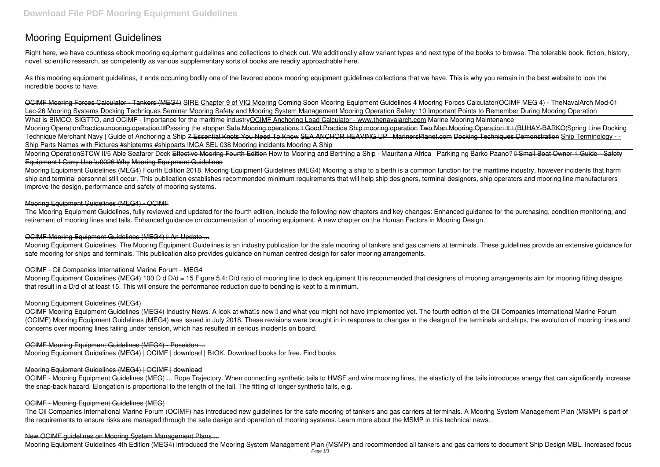# **Mooring Equipment Guidelines**

Right here, we have countless ebook **mooring equipment guidelines** and collections to check out. We additionally allow variant types and next type of the books to browse. The tolerable book, fiction, history, novel, scientific research, as competently as various supplementary sorts of books are readily approachable here.

As this mooring equipment guidelines, it ends occurring bodily one of the favored ebook mooring equipment guidelines collections that we have. This is why you remain in the best website to look the incredible books to have.

Mooring OperationSTCW II/5 Able Seafarer Deck Effective Mooring Fourth Edition How to Mooring and Berthing a Ship - Mauritania Africa | Parking ng Barko Paano? <del>II Small Boat Owner 1 Guide - Safety</del> Equipment I Carry Use \u0026 Why Mooring Equipment Guidelines

OCIMF Mooring Forces Calculator - Tankers (MEG4) SIRE Chapter 9 of VIQ Mooring Coming Soon Mooring Equipment Guidelines 4 Mooring Forces Calculator(OCIMF MEG 4) - TheNavalArch Mod-01 Lec-26 Mooring Systems <del>Docking Techniques Seminar Mooring Safety and Mooring System Management Mooring Operation Safety: 10 Important Points to Remember During Mooring Operation</del> What is BIMCO, SIGTTO, and OCIMF - Importance for the maritime industryOCIMF Anchoring Load Calculator - www.thenavalarch.com Marine Mooring Maintenance Mooring OperationPractice.mooring.operation **EPassing the stopper** Safe Mooring operations E Good Practice Ship mooring operation Two Man Mooring Operation EEL (BUHAY-BARKO)Spring Line Docking Technique Merchant Navy | Guide of Anchoring a Ship <del>7 Essential Knots You Need To Know SEA ANCHOR HEAVING UP | MarinersPlanet.com Docking Techniques Demonstration Ship Terminology - -</del> Ship Parts Names with Pictures #shipterms #shipparts *IMCA SEL 038 Mooring incidents Mooring A Ship*

Mooring Equipment Guidelines (MEG4) Fourth Edition 2018. Mooring Equipment Guidelines (MEG4) Mooring a ship to a berth is a common function for the maritime industry, however incidents that harm ship and terminal personnel still occur. This publication establishes recommended minimum requirements that will help ship designers, terminal designers, ship operators and mooring line manufacturers improve the design, performance and safety of mooring systems.

The Mooring Equipment Guidelines, fully reviewed and updated for the fourth edition, include the following new chapters and key changes: Enhanced guidance for the purchasing, condition monitoring, and retirement of mooring lines and tails. Enhanced guidance on documentation of mooring equipment. A new chapter on the Human Factors in Mooring Design.

# OCIMF Mooring Equipment Guidelines (MEG4) I An Update ...

Mooring Equipment Guidelines (MEG4) 100 D d D/d = 15 Figure 5.4: D/d ratio of mooring line to deck equipment It is recommended that designers of mooring arrangements aim for mooring fitting designs that result in a D/d of at least 15. This will ensure the performance reduction due to bending is kept to a minimum.

OCIMF Mooring Equipment Guidelines (MEG4) Industry News. A look at what Is new I and what you might not have implemented yet. The fourth edition of the Oil Companies International Marine Forum (OCIMF) Mooring Equipment Guidelines (MEG4) was issued in July 2018. These revisions were brought in in response to changes in the design of the terminals and ships, the evolution of mooring lines and concerns over mooring lines failing under tension, which has resulted in serious incidents on board.

# Mooring Equipment Guidelines (MEG4) - OCIMF

Mooring Equipment Guidelines. The Mooring Equipment Guidelines is an industry publication for the safe mooring of tankers and gas carriers at terminals. These guidelines provide an extensive guidance for safe mooring for ships and terminals. This publication also provides guidance on human centred design for safer mooring arrangements.

# OCIMF - Oil Companies International Marine Forum - MEG4

# Mooring Equipment Guidelines (MEG4)

# OCIMF Mooring Equipment Guidelines (MEG4) - Poseidon ...

Mooring Equipment Guidelines (MEG4) | OCIMF | download | B<sub>I</sub>OK. Download books for free. Find books

# Mooring Equipment Guidelines (MEG4) | OCIMF | download

OCIMF - Mooring Equipment Guidelines (MEG) ... Rope Trajectory. When connecting synthetic tails to HMSF and wire mooring lines, the elasticity of the tails introduces energy that can significantly increase the snap-back hazard. Elongation is proportional to the length of the tail. The fitting of longer synthetic tails, e.g.

# OCIMF - Mooring Equipment Guidelines (MEG)

The Oil Companies International Marine Forum (OCIMF) has introduced new guidelines for the safe mooring of tankers and gas carriers at terminals. A Mooring System Management Plan (MSMP) is part of the requirements to ensure risks are managed through the safe design and operation of mooring systems. Learn more about the MSMP in this technical news.

# New OCIMF guidelines on Mooring System Management Plans ...

Mooring Equipment Guidelines 4th Edition (MEG4) introduced the Mooring System Management Plan (MSMP) and recommended all tankers and gas carriers to document Ship Design MBL. Increased focus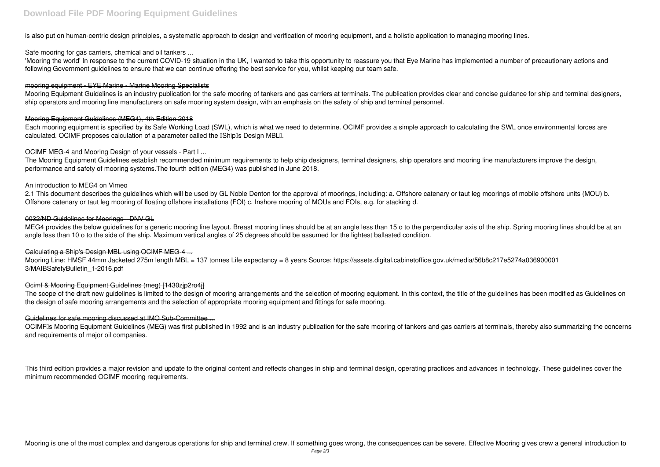is also put on human-centric design principles, a systematic approach to design and verification of mooring equipment, and a holistic application to managing mooring lines.

# Safe mooring for gas carriers, chemical and oil tankers ...

'Mooring the world' In response to the current COVID-19 situation in the UK, I wanted to take this opportunity to reassure you that Eye Marine has implemented a number of precautionary actions and following Government guidelines to ensure that we can continue offering the best service for you, whilst keeping our team safe.

Each mooring equipment is specified by its Safe Working Load (SWL), which is what we need to determine. OCIMF provides a simple approach to calculating the SWL once environmental forces are calculated. OCIMF proposes calculation of a parameter called the **IShipIs Design MBLI**.

#### mooring equipment - EYE Marine - Marine Mooring Specialists

Mooring Equipment Guidelines is an industry publication for the safe mooring of tankers and gas carriers at terminals. The publication provides clear and concise guidance for ship and terminal designers, ship operators and mooring line manufacturers on safe mooring system design, with an emphasis on the safety of ship and terminal personnel.

#### Mooring Equipment Guidelines (MEG4), 4th Edition 2018

MEG4 provides the below guidelines for a generic mooring line layout. Breast mooring lines should be at an angle less than 15 o to the perpendicular axis of the ship. Spring mooring lines should be at an angle less than 10 o to the side of the ship. Maximum vertical angles of 25 degrees should be assumed for the lightest ballasted condition.

Mooring Line: HMSF 44mm Jacketed 275m length MBL = 137 tonnes Life expectancy = 8 years Source: https://assets.digital.cabinetoffice.gov.uk/media/56b8c217e5274a036900001 3/MAIBSafetyBulletin\_1-2016.pdf

#### OCIMF MEG-4 and Mooring Design of your vessels - Part I ...

The scope of the draft new guidelines is limited to the design of mooring arrangements and the selection of mooring equipment. In this context, the title of the guidelines has been modified as Guidelines on the design of safe mooring arrangements and the selection of appropriate mooring equipment and fittings for safe mooring.

# Guidelines for safe mooring discussed at IMO Sub-Committee ...

The Mooring Equipment Guidelines establish recommended minimum requirements to help ship designers, terminal designers, ship operators and mooring line manufacturers improve the design, performance and safety of mooring systems.The fourth edition (MEG4) was published in June 2018.

OCIMFIs Mooring Equipment Guidelines (MEG) was first published in 1992 and is an industry publication for the safe mooring of tankers and gas carriers at terminals, thereby also summarizing the concerns and requirements of major oil companies.

#### An introduction to MEG4 on Vimeo

2.1 This document describes the guidelines which will be used by GL Noble Denton for the approval of moorings, including: a. Offshore catenary or taut leg moorings of mobile offshore units (MOU) b. Offshore catenary or taut leg mooring of floating offshore installations (FOI) c. Inshore mooring of MOUs and FOIs, e.g. for stacking d.

#### 0032/ND Guidelines for Moorings - DNV GL

# Calculating a Ship's Design MBL using OCIMF MEG-4 ...

# Ocimf & Mooring Equipment Guidelines (meg) [1430zjp2ro4j]

This third edition provides a major revision and update to the original content and reflects changes in ship and terminal design, operating practices and advances in technology. These guidelines cover the minimum recommended OCIMF mooring requirements.